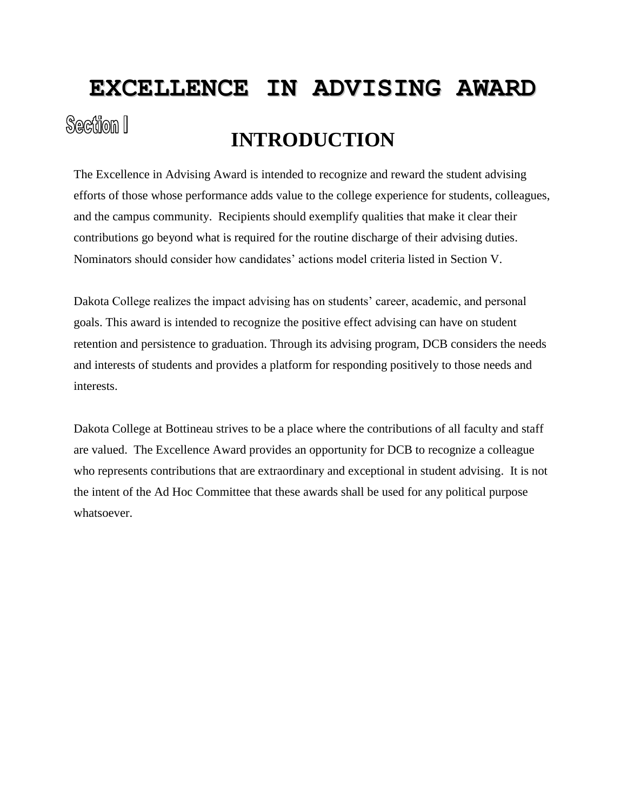# **EXCELLENCE IN ADVISING AWARD** Section I **INTRODUCTION**

The Excellence in Advising Award is intended to recognize and reward the student advising efforts of those whose performance adds value to the college experience for students, colleagues, and the campus community. Recipients should exemplify qualities that make it clear their contributions go beyond what is required for the routine discharge of their advising duties. Nominators should consider how candidates' actions model criteria listed in Section V.

Dakota College realizes the impact advising has on students' career, academic, and personal goals. This award is intended to recognize the positive effect advising can have on student retention and persistence to graduation. Through its advising program, DCB considers the needs and interests of students and provides a platform for responding positively to those needs and interests.

Dakota College at Bottineau strives to be a place where the contributions of all faculty and staff are valued. The Excellence Award provides an opportunity for DCB to recognize a colleague who represents contributions that are extraordinary and exceptional in student advising. It is not the intent of the Ad Hoc Committee that these awards shall be used for any political purpose whatsoever.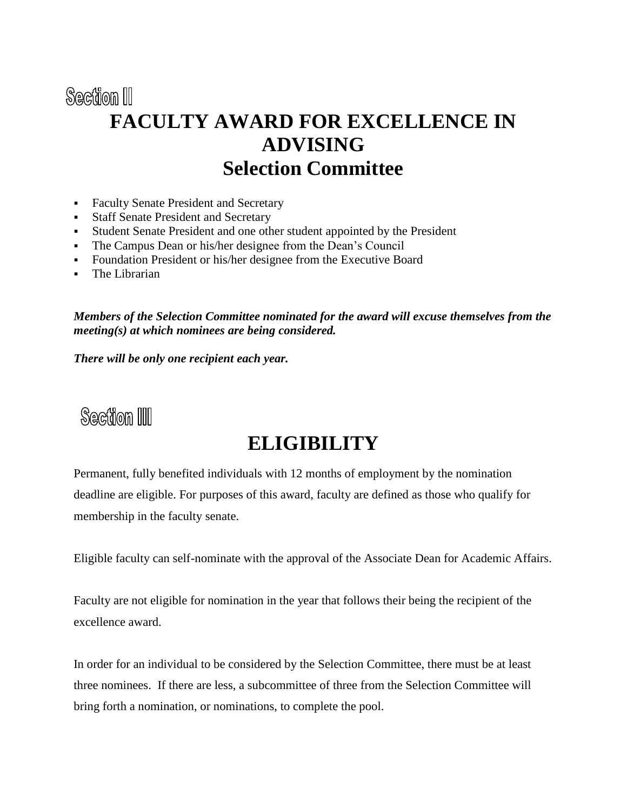## Section III **FACULTY AWARD FOR EXCELLENCE IN ADVISING Selection Committee**

- Faculty Senate President and Secretary
- Staff Senate President and Secretary
- Student Senate President and one other student appointed by the President
- The Campus Dean or his/her designee from the Dean's Council
- Foundation President or his/her designee from the Executive Board
- The Librarian

*Members of the Selection Committee nominated for the award will excuse themselves from the meeting(s) at which nominees are being considered.*

*There will be only one recipient each year.*



## **ELIGIBILITY**

Permanent, fully benefited individuals with 12 months of employment by the nomination deadline are eligible. For purposes of this award, faculty are defined as those who qualify for membership in the faculty senate.

Eligible faculty can self-nominate with the approval of the Associate Dean for Academic Affairs.

Faculty are not eligible for nomination in the year that follows their being the recipient of the excellence award.

In order for an individual to be considered by the Selection Committee, there must be at least three nominees. If there are less, a subcommittee of three from the Selection Committee will bring forth a nomination, or nominations, to complete the pool.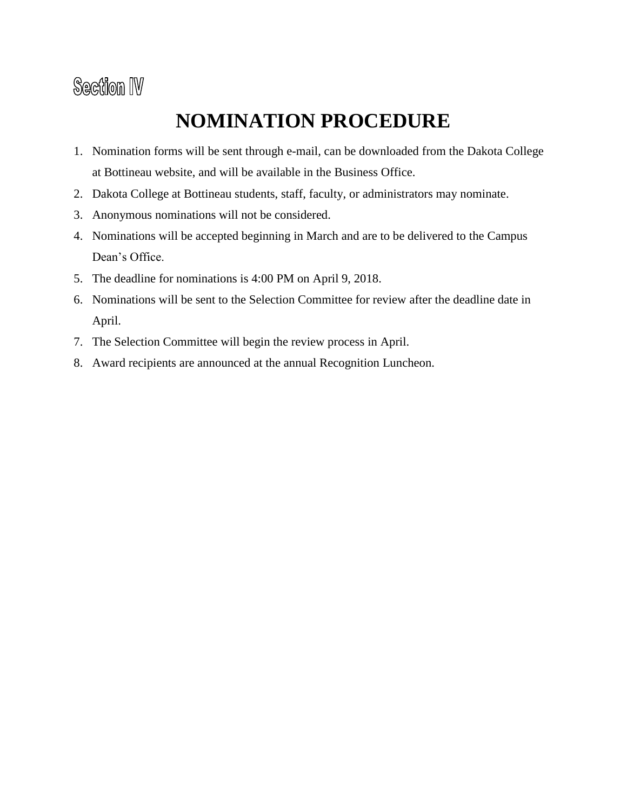# **Section IV**

# **NOMINATION PROCEDURE**

- 1. Nomination forms will be sent through e-mail, can be downloaded from the Dakota College at Bottineau website, and will be available in the Business Office.
- 2. Dakota College at Bottineau students, staff, faculty, or administrators may nominate.
- 3. Anonymous nominations will not be considered.
- 4. Nominations will be accepted beginning in March and are to be delivered to the Campus Dean's Office.
- 5. The deadline for nominations is 4:00 PM on April 9, 2018.
- 6. Nominations will be sent to the Selection Committee for review after the deadline date in April.
- 7. The Selection Committee will begin the review process in April.
- 8. Award recipients are announced at the annual Recognition Luncheon.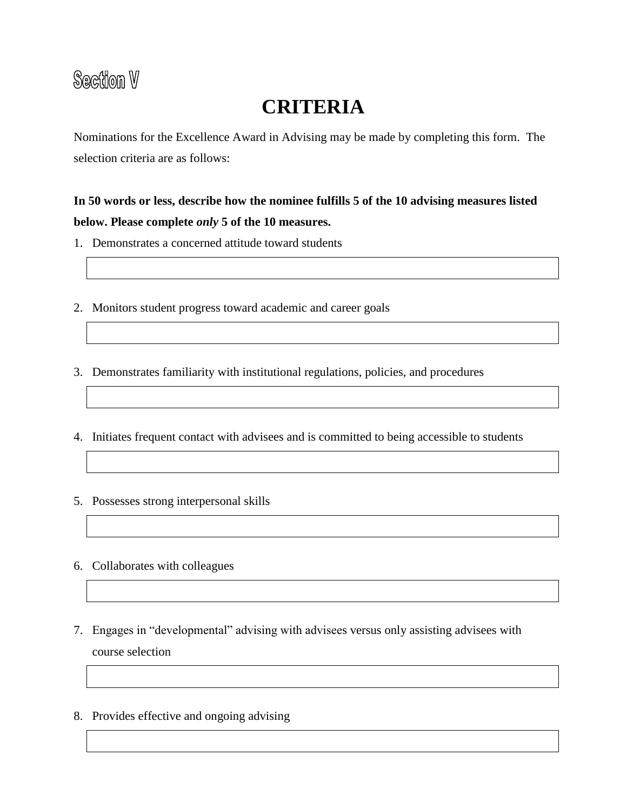#### Section V

## **CRITERIA**

Nominations for the Excellence Award in Advising may be made by completing this form. The selection criteria are as follows:

#### **In 50 words or less, describe how the nominee fulfills 5 of the 10 advising measures listed below. Please complete** *only* **5 of the 10 measures.**

- 1. Demonstrates a concerned attitude toward students
- 2. Monitors student progress toward academic and career goals
- 3. Demonstrates familiarity with institutional regulations, policies, and procedures
- 4. Initiates frequent contact with advisees and is committed to being accessible to students
- 5. Possesses strong interpersonal skills
- 6. Collaborates with colleagues
- 7. Engages in "developmental" advising with advisees versus only assisting advisees with course selection
- 8. Provides effective and ongoing advising